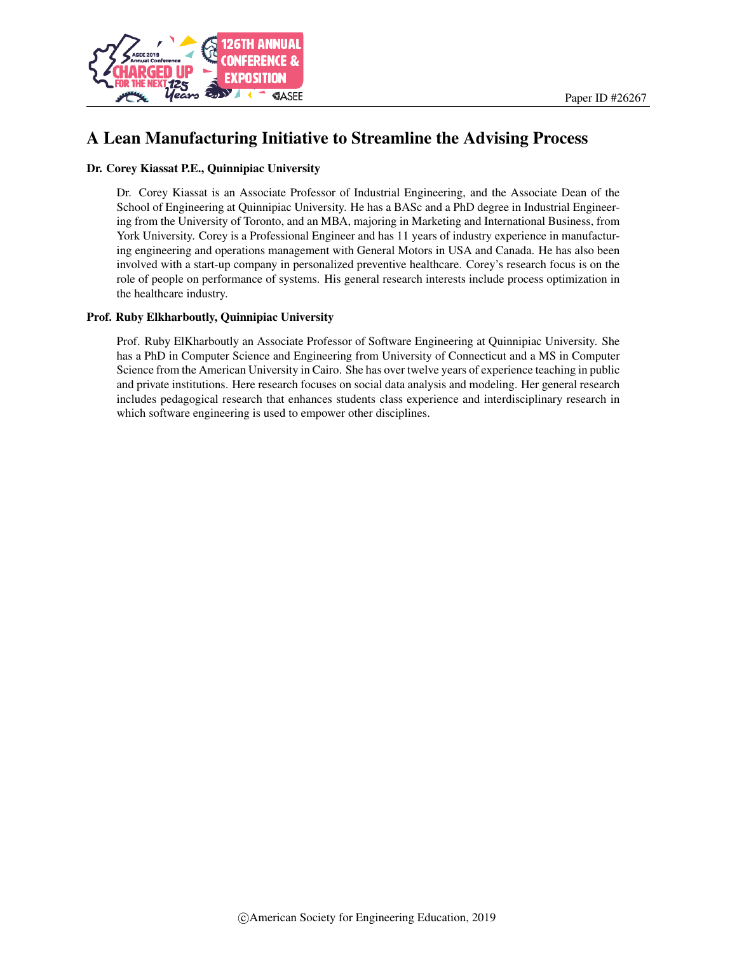

# A Lean Manufacturing Initiative to Streamline the Advising Process

#### Dr. Corey Kiassat P.E., Quinnipiac University

Dr. Corey Kiassat is an Associate Professor of Industrial Engineering, and the Associate Dean of the School of Engineering at Quinnipiac University. He has a BASc and a PhD degree in Industrial Engineering from the University of Toronto, and an MBA, majoring in Marketing and International Business, from York University. Corey is a Professional Engineer and has 11 years of industry experience in manufacturing engineering and operations management with General Motors in USA and Canada. He has also been involved with a start-up company in personalized preventive healthcare. Corey's research focus is on the role of people on performance of systems. His general research interests include process optimization in the healthcare industry.

#### Prof. Ruby Elkharboutly, Quinnipiac University

Prof. Ruby ElKharboutly an Associate Professor of Software Engineering at Quinnipiac University. She has a PhD in Computer Science and Engineering from University of Connecticut and a MS in Computer Science from the American University in Cairo. She has over twelve years of experience teaching in public and private institutions. Here research focuses on social data analysis and modeling. Her general research includes pedagogical research that enhances students class experience and interdisciplinary research in which software engineering is used to empower other disciplines.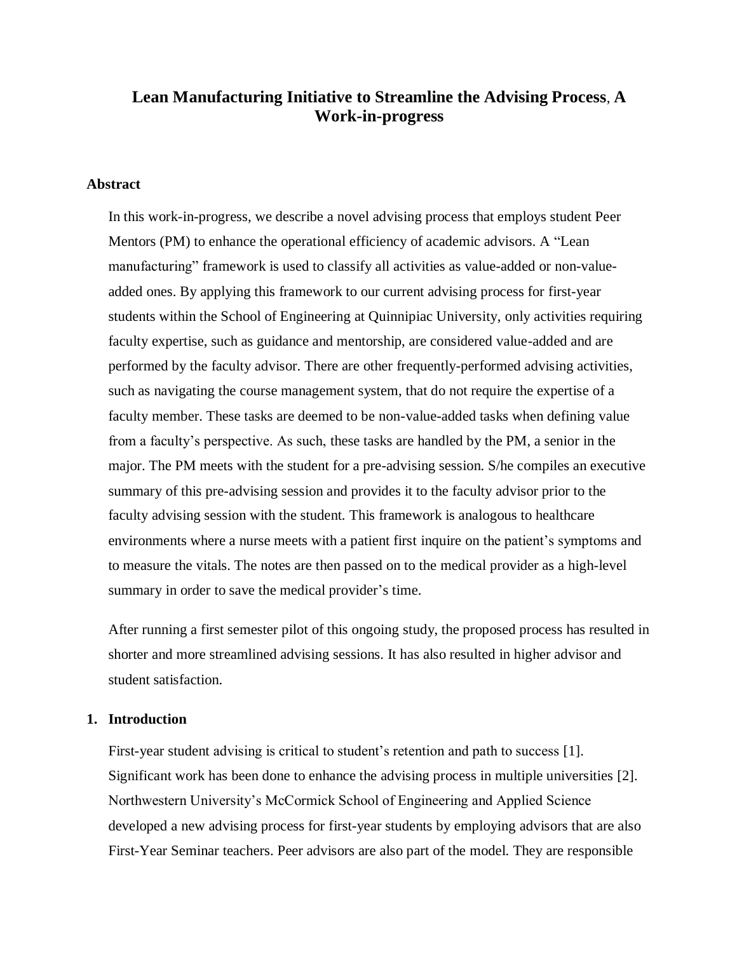# **Lean Manufacturing Initiative to Streamline the Advising Process**, **A Work-in-progress**

### **Abstract**

In this work-in-progress, we describe a novel advising process that employs student Peer Mentors (PM) to enhance the operational efficiency of academic advisors. A "Lean manufacturing" framework is used to classify all activities as value-added or non-valueadded ones. By applying this framework to our current advising process for first-year students within the School of Engineering at Quinnipiac University, only activities requiring faculty expertise, such as guidance and mentorship, are considered value-added and are performed by the faculty advisor. There are other frequently-performed advising activities, such as navigating the course management system, that do not require the expertise of a faculty member. These tasks are deemed to be non-value-added tasks when defining value from a faculty's perspective. As such, these tasks are handled by the PM, a senior in the major. The PM meets with the student for a pre-advising session. S/he compiles an executive summary of this pre-advising session and provides it to the faculty advisor prior to the faculty advising session with the student. This framework is analogous to healthcare environments where a nurse meets with a patient first inquire on the patient's symptoms and to measure the vitals. The notes are then passed on to the medical provider as a high-level summary in order to save the medical provider's time.

After running a first semester pilot of this ongoing study, the proposed process has resulted in shorter and more streamlined advising sessions. It has also resulted in higher advisor and student satisfaction.

#### **1. Introduction**

First-year student advising is critical to student's retention and path to success [1]. Significant work has been done to enhance the advising process in multiple universities [2]. Northwestern University's McCormick School of Engineering and Applied Science developed a new advising process for first-year students by employing advisors that are also First-Year Seminar teachers. Peer advisors are also part of the model. They are responsible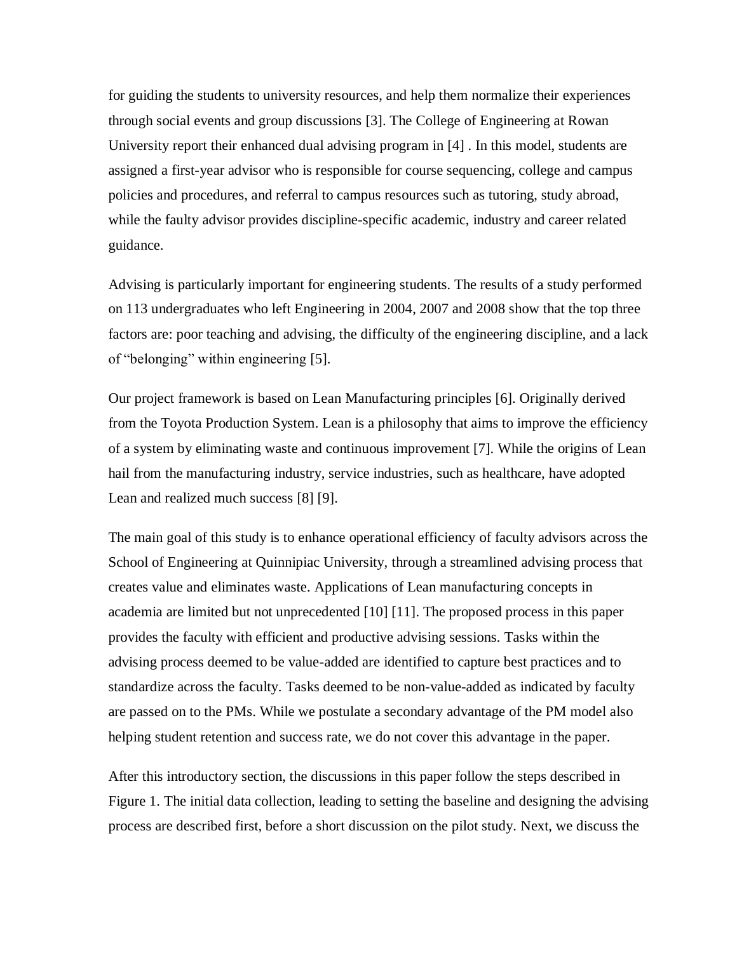for guiding the students to university resources, and help them normalize their experiences through social events and group discussions [3]. The College of Engineering at Rowan University report their enhanced dual advising program in [4] . In this model, students are assigned a first-year advisor who is responsible for course sequencing, college and campus policies and procedures, and referral to campus resources such as tutoring, study abroad, while the faulty advisor provides discipline-specific academic, industry and career related guidance.

Advising is particularly important for engineering students. The results of a study performed on 113 undergraduates who left Engineering in 2004, 2007 and 2008 show that the top three factors are: poor teaching and advising, the difficulty of the engineering discipline, and a lack of "belonging" within engineering [5].

Our project framework is based on Lean Manufacturing principles [6]. Originally derived from the Toyota Production System. Lean is a philosophy that aims to improve the efficiency of a system by eliminating waste and continuous improvement [7]. While the origins of Lean hail from the manufacturing industry, service industries, such as healthcare, have adopted Lean and realized much success [8] [9].

The main goal of this study is to enhance operational efficiency of faculty advisors across the School of Engineering at Quinnipiac University, through a streamlined advising process that creates value and eliminates waste. Applications of Lean manufacturing concepts in academia are limited but not unprecedented [10] [11]. The proposed process in this paper provides the faculty with efficient and productive advising sessions. Tasks within the advising process deemed to be value-added are identified to capture best practices and to standardize across the faculty. Tasks deemed to be non-value-added as indicated by faculty are passed on to the PMs. While we postulate a secondary advantage of the PM model also helping student retention and success rate, we do not cover this advantage in the paper.

After this introductory section, the discussions in this paper follow the steps described in Figure 1. The initial data collection, leading to setting the baseline and designing the advising process are described first, before a short discussion on the pilot study. Next, we discuss the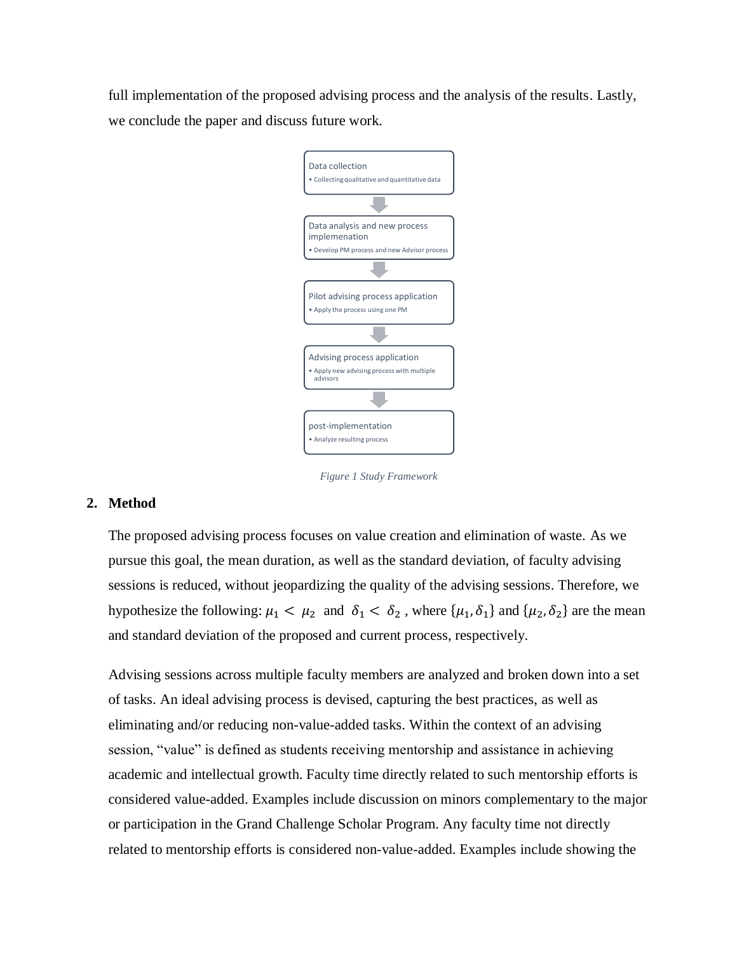full implementation of the proposed advising process and the analysis of the results. Lastly, we conclude the paper and discuss future work.



*Figure 1 Study Framework*

# **2. Method**

The proposed advising process focuses on value creation and elimination of waste. As we pursue this goal, the mean duration, as well as the standard deviation, of faculty advising sessions is reduced, without jeopardizing the quality of the advising sessions. Therefore, we hypothesize the following:  $\mu_1 < \mu_2$  and  $\delta_1 < \delta_2$ , where  $\{\mu_1, \delta_1\}$  and  $\{\mu_2, \delta_2\}$  are the mean and standard deviation of the proposed and current process, respectively.

Advising sessions across multiple faculty members are analyzed and broken down into a set of tasks. An ideal advising process is devised, capturing the best practices, as well as eliminating and/or reducing non-value-added tasks. Within the context of an advising session, "value" is defined as students receiving mentorship and assistance in achieving academic and intellectual growth. Faculty time directly related to such mentorship efforts is considered value-added. Examples include discussion on minors complementary to the major or participation in the Grand Challenge Scholar Program. Any faculty time not directly related to mentorship efforts is considered non-value-added. Examples include showing the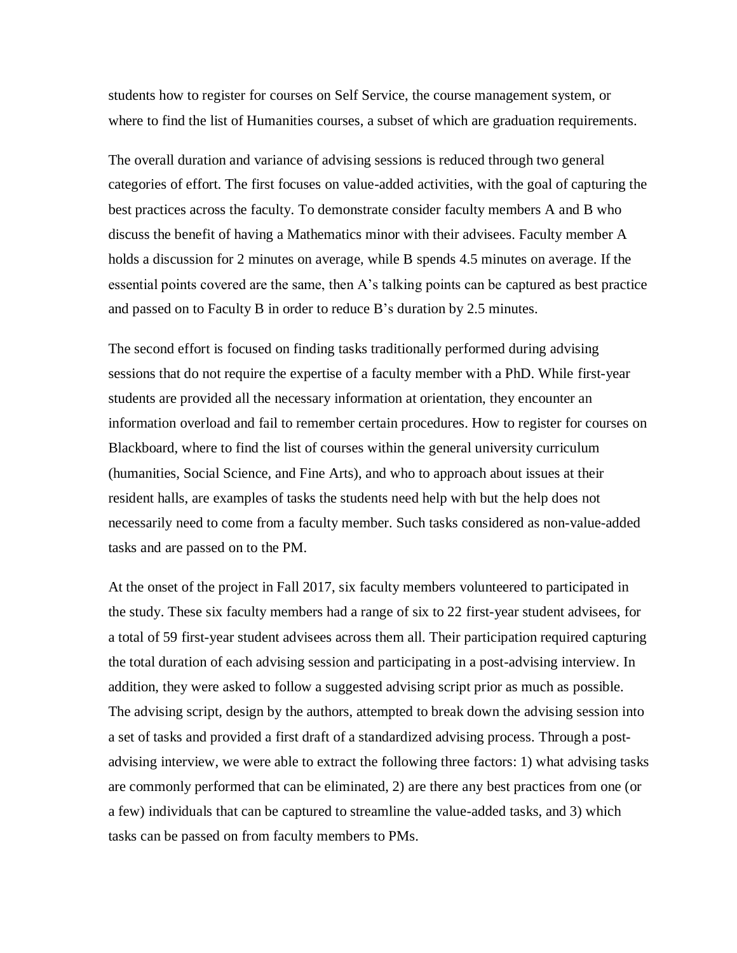students how to register for courses on Self Service, the course management system, or where to find the list of Humanities courses, a subset of which are graduation requirements.

The overall duration and variance of advising sessions is reduced through two general categories of effort. The first focuses on value-added activities, with the goal of capturing the best practices across the faculty. To demonstrate consider faculty members A and B who discuss the benefit of having a Mathematics minor with their advisees. Faculty member A holds a discussion for 2 minutes on average, while B spends 4.5 minutes on average. If the essential points covered are the same, then A's talking points can be captured as best practice and passed on to Faculty B in order to reduce B's duration by 2.5 minutes.

The second effort is focused on finding tasks traditionally performed during advising sessions that do not require the expertise of a faculty member with a PhD. While first-year students are provided all the necessary information at orientation, they encounter an information overload and fail to remember certain procedures. How to register for courses on Blackboard, where to find the list of courses within the general university curriculum (humanities, Social Science, and Fine Arts), and who to approach about issues at their resident halls, are examples of tasks the students need help with but the help does not necessarily need to come from a faculty member. Such tasks considered as non-value-added tasks and are passed on to the PM.

At the onset of the project in Fall 2017, six faculty members volunteered to participated in the study. These six faculty members had a range of six to 22 first-year student advisees, for a total of 59 first-year student advisees across them all. Their participation required capturing the total duration of each advising session and participating in a post-advising interview. In addition, they were asked to follow a suggested advising script prior as much as possible. The advising script, design by the authors, attempted to break down the advising session into a set of tasks and provided a first draft of a standardized advising process. Through a postadvising interview, we were able to extract the following three factors: 1) what advising tasks are commonly performed that can be eliminated, 2) are there any best practices from one (or a few) individuals that can be captured to streamline the value-added tasks, and 3) which tasks can be passed on from faculty members to PMs.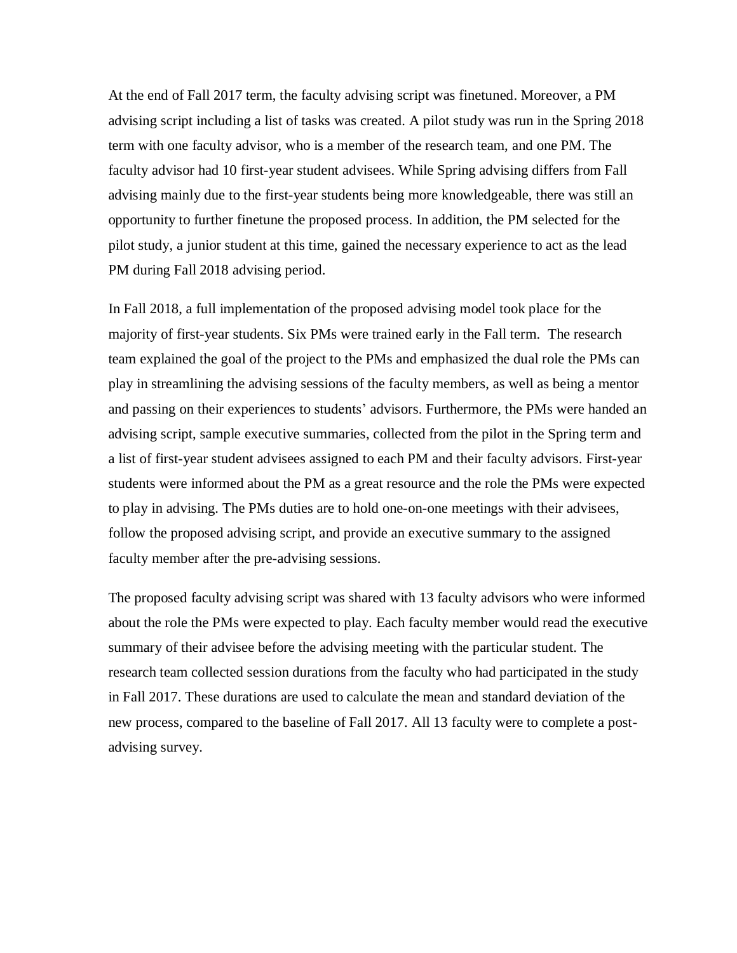At the end of Fall 2017 term, the faculty advising script was finetuned. Moreover, a PM advising script including a list of tasks was created. A pilot study was run in the Spring 2018 term with one faculty advisor, who is a member of the research team, and one PM. The faculty advisor had 10 first-year student advisees. While Spring advising differs from Fall advising mainly due to the first-year students being more knowledgeable, there was still an opportunity to further finetune the proposed process. In addition, the PM selected for the pilot study, a junior student at this time, gained the necessary experience to act as the lead PM during Fall 2018 advising period.

In Fall 2018, a full implementation of the proposed advising model took place for the majority of first-year students. Six PMs were trained early in the Fall term. The research team explained the goal of the project to the PMs and emphasized the dual role the PMs can play in streamlining the advising sessions of the faculty members, as well as being a mentor and passing on their experiences to students' advisors. Furthermore, the PMs were handed an advising script, sample executive summaries, collected from the pilot in the Spring term and a list of first-year student advisees assigned to each PM and their faculty advisors. First-year students were informed about the PM as a great resource and the role the PMs were expected to play in advising. The PMs duties are to hold one-on-one meetings with their advisees, follow the proposed advising script, and provide an executive summary to the assigned faculty member after the pre-advising sessions.

The proposed faculty advising script was shared with 13 faculty advisors who were informed about the role the PMs were expected to play. Each faculty member would read the executive summary of their advisee before the advising meeting with the particular student. The research team collected session durations from the faculty who had participated in the study in Fall 2017. These durations are used to calculate the mean and standard deviation of the new process, compared to the baseline of Fall 2017. All 13 faculty were to complete a postadvising survey.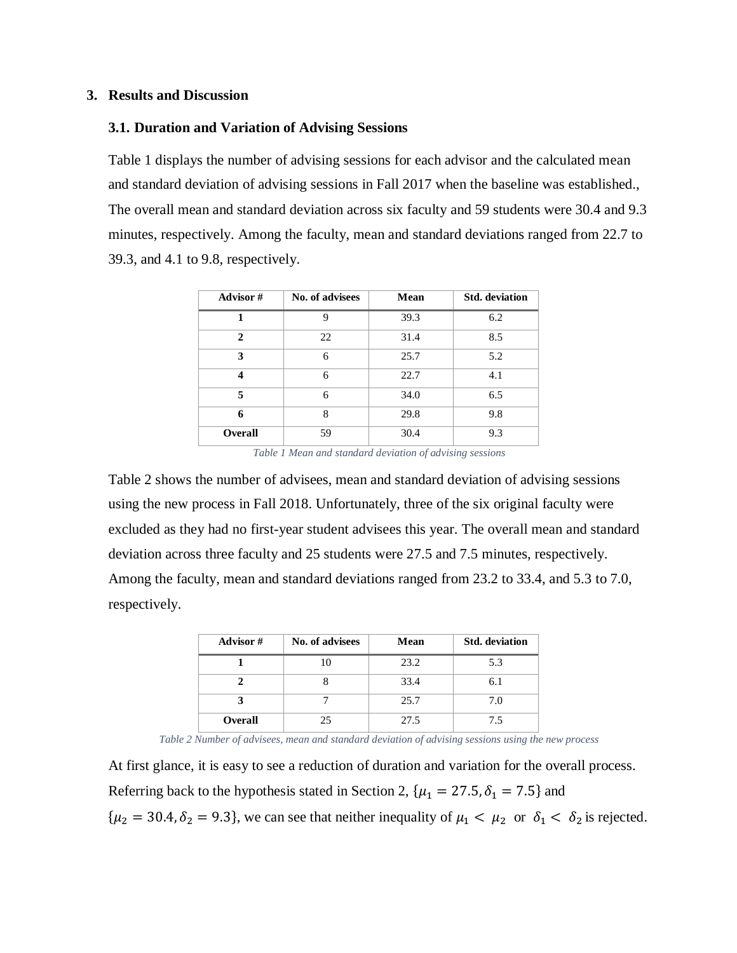#### **3. Results and Discussion**

### **3.1. Duration and Variation of Advising Sessions**

[Table 1](#page-6-0) displays the number of advising sessions for each advisor and the calculated mean and standard deviation of advising sessions in Fall 2017 when the baseline was established., The overall mean and standard deviation across six faculty and 59 students were 30.4 and 9.3 minutes, respectively. Among the faculty, mean and standard deviations ranged from 22.7 to 39.3, and 4.1 to 9.8, respectively.

| <b>Advisor</b> # | No. of advisees | Mean | <b>Std.</b> deviation |
|------------------|-----------------|------|-----------------------|
|                  | 9               | 39.3 | 6.2                   |
| $\mathbf{2}$     | 22              | 31.4 | 8.5                   |
| 3                | 6               | 25.7 | 5.2                   |
| 4                | 6               | 22.7 | 4.1                   |
| 5                | 6               | 34.0 | 6.5                   |
| 6                | 8               | 29.8 | 9.8                   |
| Overall          | 59              | 30.4 | 9.3                   |

*Table 1 Mean and standard deviation of advising sessions*

<span id="page-6-0"></span>[Table 2](#page-6-1) shows the number of advisees, mean and standard deviation of advising sessions using the new process in Fall 2018. Unfortunately, three of the six original faculty were excluded as they had no first-year student advisees this year. The overall mean and standard deviation across three faculty and 25 students were 27.5 and 7.5 minutes, respectively. Among the faculty, mean and standard deviations ranged from 23.2 to 33.4, and 5.3 to 7.0, respectively.

| Advisor#       | No. of advisees | Mean | <b>Std.</b> deviation |
|----------------|-----------------|------|-----------------------|
|                |                 | 23.2 | 5.3                   |
|                |                 | 33.4 | 6.1                   |
|                |                 | 25.7 | 7.0                   |
| <b>Overall</b> | 25              | 27.5 | 75                    |

*Table 2 Number of advisees, mean and standard deviation of advising sessions using the new process*

<span id="page-6-1"></span>At first glance, it is easy to see a reduction of duration and variation for the overall process. Referring back to the hypothesis stated in Section 2,  $\{\mu_1 = 27.5, \delta_1 = 7.5\}$  and  $\{\mu_2 = 30.4, \delta_2 = 9.3\}$ , we can see that neither inequality of  $\mu_1 < \mu_2$  or  $\delta_1 < \delta_2$  is rejected.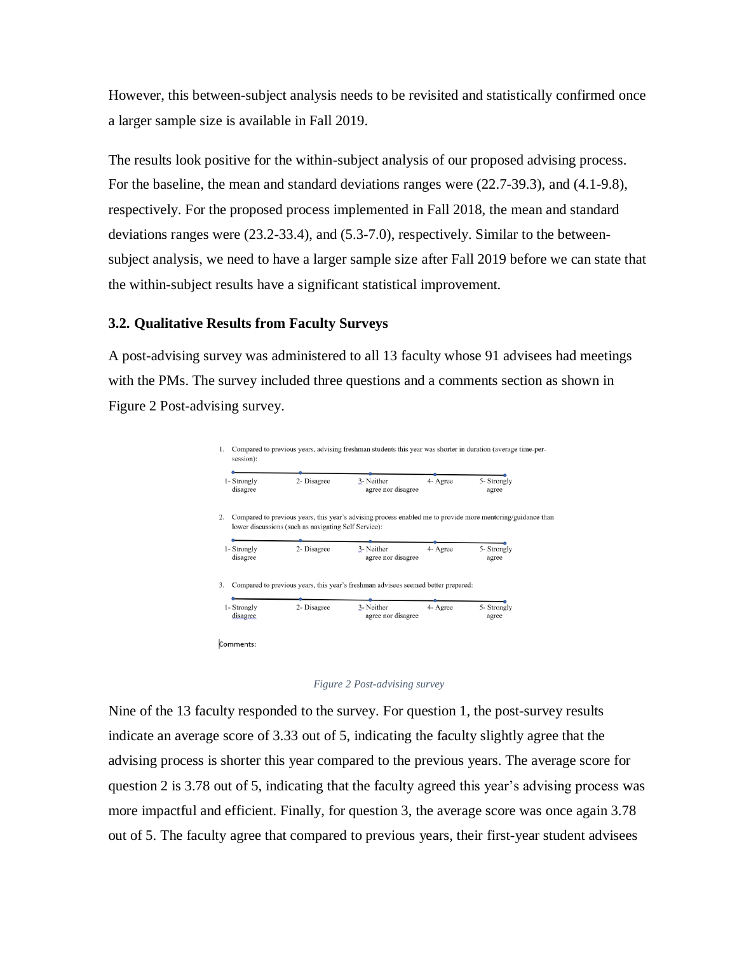However, this between-subject analysis needs to be revisited and statistically confirmed once a larger sample size is available in Fall 2019.

The results look positive for the within-subject analysis of our proposed advising process. For the baseline, the mean and standard deviations ranges were (22.7-39.3), and (4.1-9.8), respectively. For the proposed process implemented in Fall 2018, the mean and standard deviations ranges were (23.2-33.4), and (5.3-7.0), respectively. Similar to the betweensubject analysis, we need to have a larger sample size after Fall 2019 before we can state that the within-subject results have a significant statistical improvement.

### **3.2. Qualitative Results from Faculty Surveys**

A post-advising survey was administered to all 13 faculty whose 91 advisees had meetings with the PMs. The survey included three questions and a comments section as shown in Figure 2 [Post-advising survey.](#page-7-0)

| 1- Strongly<br>disagree | 2- Disagree                                          | 3- Neither<br>agree nor disagree                                                                            | 4- Agree | 5- Strongly<br>agree |
|-------------------------|------------------------------------------------------|-------------------------------------------------------------------------------------------------------------|----------|----------------------|
|                         | lower discussions (such as navigating Self Service): | Compared to previous years, this year's advising process enabled me to provide more mentoring/guidance than |          |                      |
|                         |                                                      |                                                                                                             |          |                      |
| 1- Strongly<br>disagree | 2- Disagree                                          | 3- Neither<br>agree nor disagree                                                                            | 4- Agree | 5- Strongly<br>agree |



<span id="page-7-0"></span>Nine of the 13 faculty responded to the survey. For question 1, the post-survey results indicate an average score of 3.33 out of 5, indicating the faculty slightly agree that the advising process is shorter this year compared to the previous years. The average score for question 2 is 3.78 out of 5, indicating that the faculty agreed this year's advising process was more impactful and efficient. Finally, for question 3, the average score was once again 3.78 out of 5. The faculty agree that compared to previous years, their first-year student advisees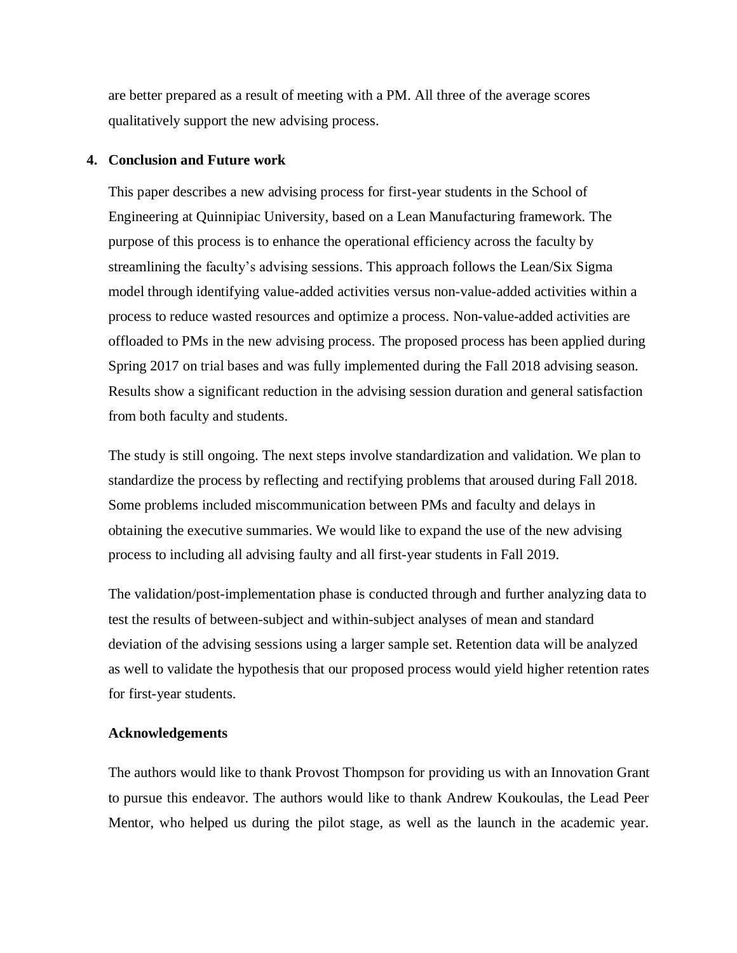are better prepared as a result of meeting with a PM. All three of the average scores qualitatively support the new advising process.

#### **4. Conclusion and Future work**

This paper describes a new advising process for first-year students in the School of Engineering at Quinnipiac University, based on a Lean Manufacturing framework. The purpose of this process is to enhance the operational efficiency across the faculty by streamlining the faculty's advising sessions. This approach follows the Lean/Six Sigma model through identifying value-added activities versus non-value-added activities within a process to reduce wasted resources and optimize a process. Non-value-added activities are offloaded to PMs in the new advising process. The proposed process has been applied during Spring 2017 on trial bases and was fully implemented during the Fall 2018 advising season. Results show a significant reduction in the advising session duration and general satisfaction from both faculty and students.

The study is still ongoing. The next steps involve standardization and validation. We plan to standardize the process by reflecting and rectifying problems that aroused during Fall 2018. Some problems included miscommunication between PMs and faculty and delays in obtaining the executive summaries. We would like to expand the use of the new advising process to including all advising faulty and all first-year students in Fall 2019.

The validation/post-implementation phase is conducted through and further analyzing data to test the results of between-subject and within-subject analyses of mean and standard deviation of the advising sessions using a larger sample set. Retention data will be analyzed as well to validate the hypothesis that our proposed process would yield higher retention rates for first-year students.

## **Acknowledgements**

The authors would like to thank Provost Thompson for providing us with an Innovation Grant to pursue this endeavor. The authors would like to thank Andrew Koukoulas, the Lead Peer Mentor, who helped us during the pilot stage, as well as the launch in the academic year.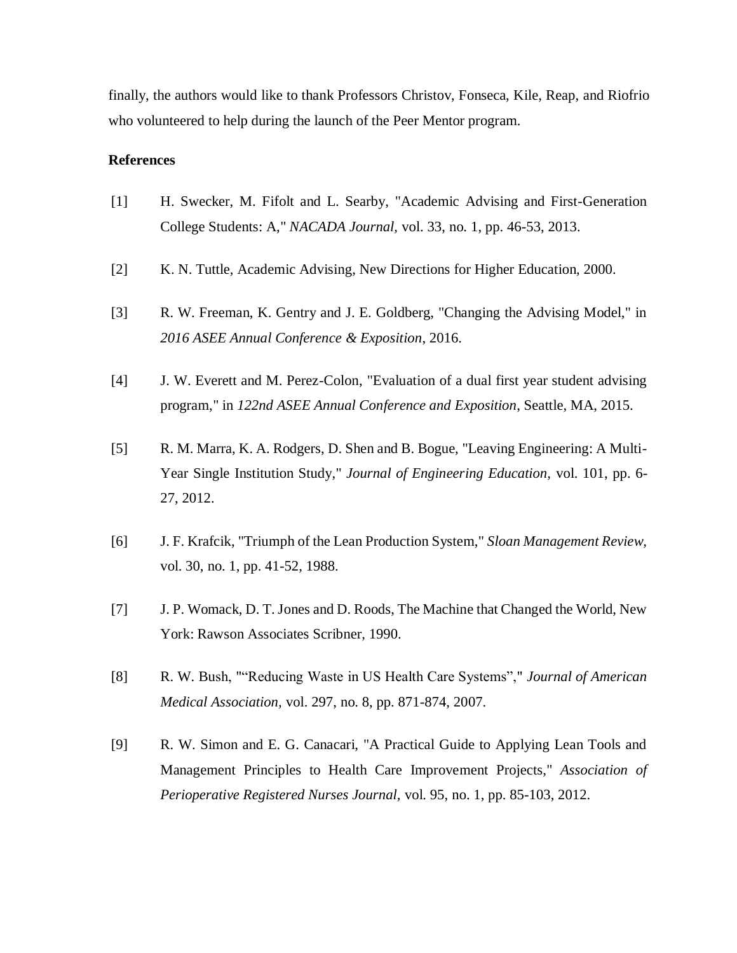finally, the authors would like to thank Professors Christov, Fonseca, Kile, Reap, and Riofrio who volunteered to help during the launch of the Peer Mentor program.

## **References**

- [1] H. Swecker, M. Fifolt and L. Searby, "Academic Advising and First-Generation College Students: A," *NACADA Journal,* vol. 33, no. 1, pp. 46-53, 2013.
- [2] K. N. Tuttle, Academic Advising, New Directions for Higher Education, 2000.
- [3] R. W. Freeman, K. Gentry and J. E. Goldberg, "Changing the Advising Model," in *2016 ASEE Annual Conference & Exposition*, 2016.
- [4] J. W. Everett and M. Perez-Colon, "Evaluation of a dual first year student advising program," in *122nd ASEE Annual Conference and Exposition*, Seattle, MA, 2015.
- [5] R. M. Marra, K. A. Rodgers, D. Shen and B. Bogue, "Leaving Engineering: A Multi-Year Single Institution Study," *Journal of Engineering Education,* vol. 101, pp. 6- 27, 2012.
- [6] J. F. Krafcik, "Triumph of the Lean Production System," *Sloan Management Review,*  vol. 30, no. 1, pp. 41-52, 1988.
- [7] J. P. Womack, D. T. Jones and D. Roods, The Machine that Changed the World, New York: Rawson Associates Scribner, 1990.
- [8] R. W. Bush, ""Reducing Waste in US Health Care Systems"," *Journal of American Medical Association,* vol. 297, no. 8, pp. 871-874, 2007.
- [9] R. W. Simon and E. G. Canacari, "A Practical Guide to Applying Lean Tools and Management Principles to Health Care Improvement Projects," *Association of Perioperative Registered Nurses Journal,* vol. 95, no. 1, pp. 85-103, 2012.